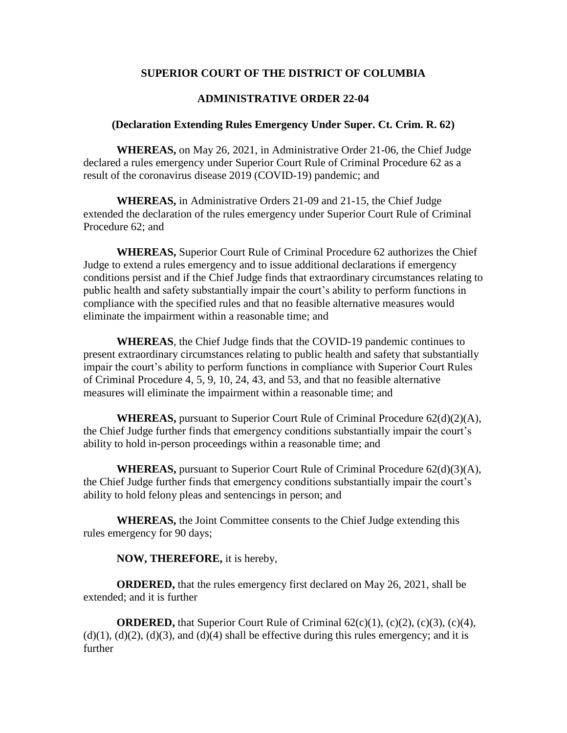# **SUPERIOR COURT OF THE DISTRICT OF COLUMBIA**

# **ADMINISTRATIVE ORDER 22-04**

#### **(Declaration Extending Rules Emergency Under Super. Ct. Crim. R. 62)**

**WHEREAS,** on May 26, 2021, in Administrative Order 21-06, the Chief Judge declared a rules emergency under Superior Court Rule of Criminal Procedure 62 as a result of the coronavirus disease 2019 (COVID-19) pandemic; and

**WHEREAS,** in Administrative Orders 21-09 and 21-15, the Chief Judge extended the declaration of the rules emergency under Superior Court Rule of Criminal Procedure 62; and

**WHEREAS,** Superior Court Rule of Criminal Procedure 62 authorizes the Chief Judge to extend a rules emergency and to issue additional declarations if emergency conditions persist and if the Chief Judge finds that extraordinary circumstances relating to public health and safety substantially impair the court's ability to perform functions in compliance with the specified rules and that no feasible alternative measures would eliminate the impairment within a reasonable time; and

**WHEREAS**, the Chief Judge finds that the COVID-19 pandemic continues to present extraordinary circumstances relating to public health and safety that substantially impair the court's ability to perform functions in compliance with Superior Court Rules of Criminal Procedure 4, 5, 9, 10, 24, 43, and 53, and that no feasible alternative measures will eliminate the impairment within a reasonable time; and

**WHEREAS,** pursuant to Superior Court Rule of Criminal Procedure  $62(d)(2)(A)$ , the Chief Judge further finds that emergency conditions substantially impair the court's ability to hold in-person proceedings within a reasonable time; and

**WHEREAS,** pursuant to Superior Court Rule of Criminal Procedure 62(d)(3)(A), the Chief Judge further finds that emergency conditions substantially impair the court's ability to hold felony pleas and sentencings in person; and

**WHEREAS,** the Joint Committee consents to the Chief Judge extending this rules emergency for 90 days;

#### **NOW, THEREFORE,** it is hereby,

**ORDERED,** that the rules emergency first declared on May 26, 2021, shall be extended; and it is further

**ORDERED,** that Superior Court Rule of Criminal 62(c)(1), (c)(2), (c)(3), (c)(4),  $(d)(1)$ ,  $(d)(2)$ ,  $(d)(3)$ , and  $(d)(4)$  shall be effective during this rules emergency; and it is further